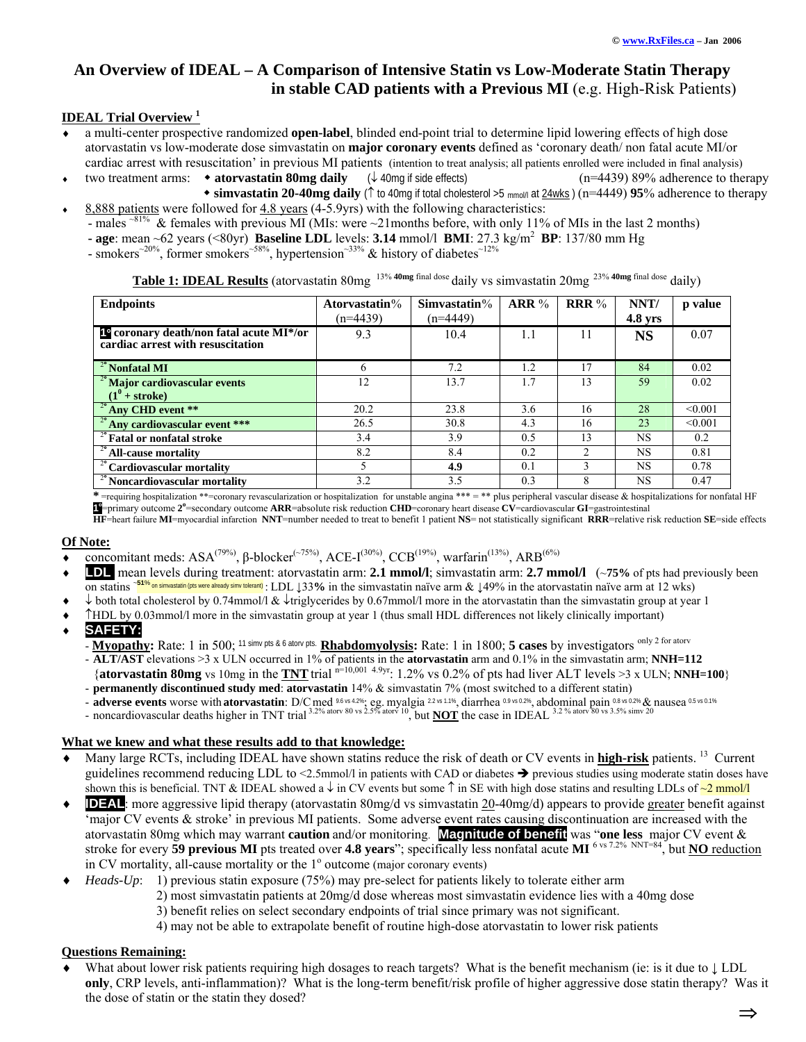# **An Overview of IDEAL – A Comparison of Intensive Statin vs Low-Moderate Statin Therapy in stable CAD patients with a Previous MI** (e.g. High-Risk Patients)

### **IDEAL Trial Overview <sup>1</sup>**

- a multi-center prospective randomized **open-label**, blinded end-point trial to determine lipid lowering effects of high dose atorvastatin vs low-moderate dose simvastatin on **major coronary events** defined as 'coronary death/ non fatal acute MI/or cardiac arrest with resuscitation' in previous MI patients (intention to treat analysis; all patients enrolled were included in final analysis)
- ♦ two treatment arms: **atorvastatin 80mg daily** (↓ 40mg if side effects) (n=4439) 89% adherence to therapy
- **simvastatin 20-40mg daily** (↑ to 40mg if total cholesterol >5 mmol/l at 24wks ) (n=4449) **95**% adherence to therapy ♦ 8,888 patients were followed for 4.8 years (4-5.9yrs) with the following characteristics:
	- males  $~^{81\%}$  & females with previous MI (MIs: were  $~21$ months before, with only 11% of MIs in the last 2 months)

**- age**: mean ~62 years (<80yr) **Baseline LDL** levels: **3.14** mmol/l **BMI**: 27.3 kg/m<sup>2</sup> **BP**: 137/80 mm Hg

- smokers<sup>~20%</sup>, former smokers<sup>~58%</sup>, hypertension<sup>~33%</sup> & history of diabetes<sup>~12%</sup>

**Table 1: IDEAL Results** (atorvastatin 80mg 13% **40mg** final dose daily vs simvastatin 20mg 23% **40mg** final dose daily)

| <b>Endpoints</b>                                                                          | Atorvastatin $%$<br>$(n=4439)$ | Simvastatin $%$<br>$(n=4449)$ | ARR% | <b>RRR</b> $%$ | NNT/<br>$4.8$ yrs | p value |
|-------------------------------------------------------------------------------------------|--------------------------------|-------------------------------|------|----------------|-------------------|---------|
| 1 <sup>°</sup> coronary death/non fatal acute MI*/or<br>cardiac arrest with resuscitation | 9.3                            | 10.4                          | 1.1  | 11             | <b>NS</b>         | 0.07    |
| $2^\circ$ Nonfatal MI                                                                     | 6                              | 7.2                           | 1.2  | 17             | 84                | 0.02    |
| <sup>2°</sup> Major cardiovascular events                                                 | 12                             | 13.7                          | 1.7  | 13             | 59                | 0.02    |
| $(1^{\nu} + \text{stroke})$                                                               |                                |                               |      |                |                   |         |
| $2^{\circ}$ Any CHD event **                                                              | 20.2                           | 23.8                          | 3.6  | 16             | 28                | < 0.001 |
| <sup>2°</sup> Any cardiovascular event ***                                                | 26.5                           | 30.8                          | 4.3  | 16             | 23                | < 0.001 |
| $\frac{1}{2}$ Fatal or nonfatal stroke                                                    | 3.4                            | 3.9                           | 0.5  | 13             | <b>NS</b>         | 0.2     |
| $\frac{2}{3}$ All-cause mortality                                                         | 8.2                            | 8.4                           | 0.2  | $\mathfrak{D}$ | <b>NS</b>         | 0.81    |
| <sup>2</sup> <sup>2</sup> Cardiovascular mortality                                        |                                | 4.9                           | 0.1  | 3              | <b>NS</b>         | 0.78    |
| <sup>2</sup> <sup>2</sup> Noncardiovascular mortality                                     | 3.2                            | 3.5                           | 0.3  | 8              | <b>NS</b>         | 0.47    |

**\*** =requiring hospitalization \*\*=coronary revascularization or hospitalization for unstable angina \*\*\* = \*\* plus peripheral vascular disease & hospitalizations for nonfatal HF **1**  $\blacksquare$  primary outcome  $2^\circ$ =secondary outcome **ARR**=absolute risk reduction **CHD**=coronary heart disease  $CV =$  cardiovascular **GI**=gastrointestinal

**HF**=heart failure **MI**=myocardial infarction **NNT**=number needed to treat to benefit 1 patient **NS**= not statistically significant **RRR**=relative risk reduction **SE**=side effects

## **Of Note:**

- **concomitant meds:** ASA<sup>(79%)</sup>, β-blocker<sup>(~75%)</sup>, ACE-I<sup>(30%)</sup>, CCB<sup>(19%)</sup>, warfarin<sup>(13%)</sup>, ARB<sup>(6%)</sup>
- **LDL** mean levels during treatment: atorvastatin arm: **2.1 mmol/l**; simvastatin arm: **2.7 mmol/l** (~**75%** of pts had previously been on statins <sup>~</sup>**51**% on simvastatin (pts were already simv tolerant) : LDL ↓33**%** in the simvastatin naïve arm & ↓49% in the atorvastatin naïve arm at 12 wks)
- ♦ ↓ both total cholesterol by 0.74mmol/l & ↓triglycerides by 0.67mmol/l more in the atorvastatin than the simvastatin group at year 1
- ♦ ↑HDL by 0.03mmol/l more in the simvastatin group at year 1 (thus small HDL differences not likely clinically important)
- SAFETY:
	- **Myopathy:** Rate: 1 in 500; <sup>11 simv pts & 6 atorv pts. **Rhabdomyolysis:** Rate: 1 in 1800; **5 cases** by investigators <sup>only 2 for atorv</sup></sup>
	- **ALT/AST** elevations >3 x ULN occurred in 1% of patients in the **atorvastatin** arm and 0.1% in the simvastatin arm; **NNH=112**
	- {atorvastatin 80mg vs 10mg in the **TNT** trial  $n=10,001,4.9$ yr: 1.2% vs 0.2% of pts had liver ALT levels >3 x ULN; **NNH=100**}
	- **permanently discontinued study med**: **atorvastatin** 14% & simvastatin 7% (most switched to a different statin)
	- **adverse events** worse with **atorvastatin**: D/Cmed 9.6 vs 4.2%; eg. myalgia 2.2 vs 1.1%, diarrhea 0.9 vs 0.2%, abdominal pain 0.8 vs 0.2% & nausea 0.5 vs 0.1%
	- noncardiovascular deaths higher in TNT trial 3.2% atorv 80 vs 2.5% atorv 10, but **NOT** the case in IDEAL 3.2 % atorv 80 vs 3.5% simv 20

#### **What we knew and what these results add to that knowledge:**

- Many large RCTs, including IDEAL have shown statins reduce the risk of death or CV events in **high-risk** patients. <sup>13</sup> Current guidelines recommend reducing LDL to <2.5mmol/l in patients with CAD or diabetes  $\rightarrow$  previous studies using moderate statin doses have shown this is beneficial. TNT & IDEAL showed a  $\downarrow$  in CV events but some  $\uparrow$  in SE with high dose statins and resulting LDLs of  $\sim$ 2 mmol/l
- $\bullet$  **IDEAL**: more aggressive lipid therapy (atorvastatin 80mg/d vs simvastatin 20-40mg/d) appears to provide greater benefit against 'major CV events & stroke' in previous MI patients. Some adverse event rates causing discontinuation are increased with the atorvastatin 80mg which may warrant **caution** and/or monitoring. **Magnitude of benefit** was "**one less** major CV event & stroke for every **59 previous MI** pts treated over **4.8 years**"; specifically less nonfatal acute **MI** 6 vs 7.2% NNT=84, but **NO** reduction in CV mortality, all-cause mortality or the  $1^{\circ}$  outcome (major coronary events)
- *Heads-Up*: 1) previous statin exposure (75%) may pre-select for patients likely to tolerate either arm
	- 2) most simvastatin patients at 20mg/d dose whereas most simvastatin evidence lies with a 40mg dose 3) benefit relies on select secondary endpoints of trial since primary was not significant.
	- 4) may not be able to extrapolate benefit of routine high-dose atorvastatin to lower risk patients

## **Questions Remaining:**

What about lower risk patients requiring high dosages to reach targets? What is the benefit mechanism (ie: is it due to  $\downarrow$  LDL **only**, CRP levels, anti-inflammation)? What is the long-term benefit/risk profile of higher aggressive dose statin therapy? Was it the dose of statin or the statin they dosed?